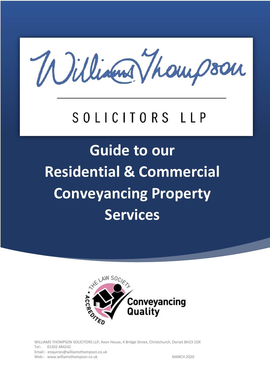William Thompson

# SOLICITORS LLP

# **Guide to our Residential & Commercial Conveyancing Property Services**



WILLIAMS THOMPSON SOLICITORS LLP, Avon House, 4 Bridge Street, Christchurch, Dorset BH23 1DX Tel:- 01202 484242 Email:- enquiries@williamsthompson.co.uk Web:- www.williamsthompson.co.uk MARCH 2020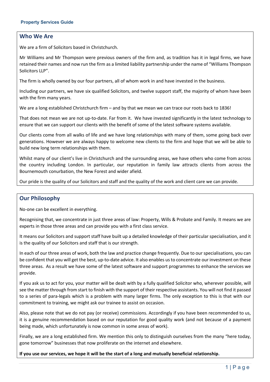#### **Who We Are**

We are a firm of Solicitors based in Christchurch.

Mr Williams and Mr Thompson were previous owners of the firm and, as tradition has it in legal firms, we have retained their names and now run the firm as a limited liability partnership under the name of "Williams Thompson Solicitors LLP".

The firm is wholly owned by our four partners, all of whom work in and have invested in the business.

Including our partners, we have six qualified Solicitors, and twelve support staff, the majority of whom have been with the firm many years.

We are a long established Christchurch firm – and by that we mean we can trace our roots back to 1836!

That does not mean we are not up-to-date. Far from it. We have invested significantly in the latest technology to ensure that we can support our clients with the benefit of some of the latest software systems available.

Our clients come from all walks of life and we have long relationships with many of them, some going back over generations. However we are always happy to welcome new clients to the firm and hope that we will be able to build new long term relationships with them.

Whilst many of our client's live in Christchurch and the surrounding areas, we have others who come from across the country including London. In particular, our reputation in family law attracts clients from across the Bournemouth conurbation, the New Forest and wider afield.

Our pride is the quality of our Solicitors and staff and the quality of the work and client care we can provide.

#### **Our Philosophy**

No-one can be excellent in everything.

Recognising that, we concentrate in just three areas of law: Property, Wills & Probate and Family. It means we are experts in those three areas and can provide you with a first class service.

It means our Solicitors and support staff have built up a detailed knowledge of their particular specialisation, and it is the quality of our Solicitors and staff that is our strength.

In each of our three areas of work, both the law and practice change frequently. Due to our specialisations, you can be confident that you will get the best, up-to-date advice. It also enables us to concentrate our investment on these three areas. As a result we have some of the latest software and support programmes to enhance the services we provide.

If you ask us to act for you, your matter will be dealt with by a fully qualified Solicitor who, wherever possible, will see the matter through from start to finish with the support of their respective assistants. You will not find it passed to a series of para-legals which is a problem with many larger firms. The only exception to this is that with our commitment to training, we might ask our trainee to assist on occasion.

Also, please note that we do not pay (or receive) commissions. Accordingly if you have been recommended to us, it is a genuine recommendation based on our reputation for good quality work (and not because of a payment being made, which unfortunately is now common in some areas of work).

Finally, we are a long established firm. We mention this only to distinguish ourselves from the many "here today, gone tomorrow" businesses that now proliferate on the internet and elsewhere.

**If you use our services, we hope it will be the start of a long and mutually beneficial relationship.**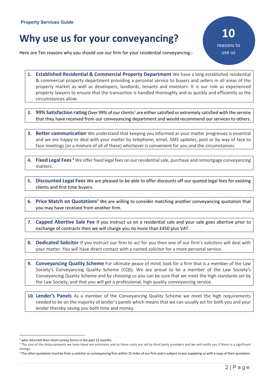# **Why use us for your conveyancing?**

Here are Ten reasons why you should use our firm for your residential conveyancing:-

**10** reasons to use us

- **1. Established Residential & Commercial Property Department** We have a long established residential & commercial property department providing a personal service to buyers and sellers in all areas of the property market as well as developers, landlords, tenants and investors. It is our role as experienced property lawyers to ensure that the transaction is handled thoroughly and as quickly and efficiently as the circumstances allow.
- **2. 99% Satisfaction rating** Over 99% of our clients<sup>1</sup> are either satisfied or extremely satisfied with the service that they have received from our conveyancing department and would recommend our services to others.
- **3. Better communication** We understand that keeping you informed as your matter progresses is essential and we are happy to deal with your matter by telephone, email, SMS updates, post or by way of face to face meetings (or a mixture of all of these) whichever is convenient for you and the circumstances.
- **4. Fixed Legal Fees 2** We offer fixed legal fees on our residential sale, purchase and remortgage conveyancing matters.
- **5. Discounted Legal Fees** We are pleased to be able to offer discounts off our quoted legal fees for existing clients and first time buyers.
- **6.** Price Match on Quotations<sup>3</sup> We are willing to consider matching another conveyancing quotation that you may have received from another firm.
- **7. Capped Abortive Sale Fee** If you instruct us on a residential sale and your sale goes abortive prior to exchange of contracts then we will charge you no more than £450 plus VAT.
- **8. Dedicated Solicitor** If you instruct our firm to act for you then one of our firm's solicitors will deal with your matter. You will have direct contact with a named solicitor for a more personal service.
- **9. Conveyancing Quality Scheme** For ultimate peace of mind, look for a firm that is a member of the Law Society's Conveyancing Quality Scheme (CQS). We are proud to be a member of the Law Society's Conveyancing Quality Scheme and by choosing us you can be sure that we meet the high standards set by the Law Society, and that you will get a professional, high quality conveyancing service.
- **10. Lender's Panels** As a member of the Conveyancing Quality Scheme we meet the high requirements needed to be on the majority of lender's panels which means that we can usually act for both you and your lender thereby saving you both time and money.

 $1$  who returned their client survey forms in the past 12 months

<sup>&</sup>lt;sup>2</sup> The cost of the disbursements we have listed are estimates and as these costs are set by third party providers and we will notify you if there is a significant change.

<sup>&</sup>lt;sup>3</sup> The other quotation must be from a solicitor or conveyancing firm within 15 miles of our firm and is subject to you supplying us with a copy of their quotation.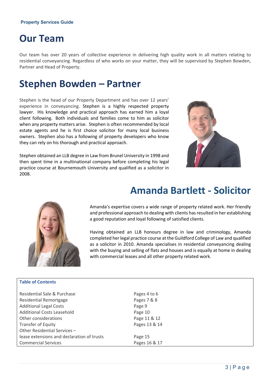#### **Property Services Guide**

### **Our Team**

Our team has over 20 years of collective experience in delivering high quality work in all matters relating to residential conveyancing. Regardless of who works on your matter, they will be supervised by Stephen Bowden, Partner and Head of Property.

### **Stephen Bowden – Partner**

Stephen is the head of our Property Department and has over 12 years' experience in conveyancing. Stephen is a highly respected property lawyer. His knowledge and practical approach has earned him a loyal client following. Both individuals and families come to him as solicitor when any property matters arise. Stephen is often recommended by local estate agents and he is first choice solicitor for many local business owners. Stephen also has a following of property developers who know they can rely on his thorough and practical approach.

Stephen obtained an LLB degree in Law from Brunel University in 1998 and then spent time in a multinational company before completing his legal practice course at Bournemouth University and qualified as a solicitor in 2008.





**Table of Contents**

### **Amanda Bartlett - Solicitor**

Amanda's expertise covers a wide range of property related work. Her friendly and professional approach to dealing with clients has resulted in her establishing a good reputation and loyal following of satisfied clients.

Having obtained an LLB honours degree in law and criminology, Amanda completed her legal practice course at the Guildford College of Law and qualified as a solicitor in 2010. Amanda specialises in residential conveyancing dealing with the buying and selling of flats and houses and is equally at home in dealing with commercial leases and all other property related work.

| Residential Sale & Purchase<br>Pages 4 to 6<br>Pages 7 & 8<br><b>Residential Remortgage</b> |
|---------------------------------------------------------------------------------------------|
|                                                                                             |
|                                                                                             |
| <b>Additional Legal Costs</b><br>Page 9                                                     |
| Additional Costs Leasehold<br>Page 10                                                       |
| Page 11 & 12<br>Other considerations                                                        |
| Pages 13 & 14<br>Transfer of Equity                                                         |
| Other Residential Services -                                                                |
| lease extensions and declaration of trusts<br>Page 15                                       |
| Pages 16 & 17<br><b>Commercial Services</b>                                                 |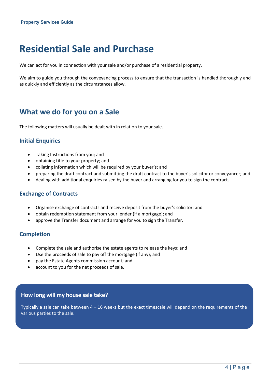## **Residential Sale and Purchase**

We can act for you in connection with your sale and/or purchase of a residential property.

We aim to guide you through the conveyancing process to ensure that the transaction is handled thoroughly and as quickly and efficiently as the circumstances allow.

### **What we do for you on a Sale**

The following matters will usually be dealt with in relation to your sale.

#### **Initial Enquiries**

- Taking Instructions from you; and
- obtaining title to your property; and
- collating information which will be required by your buyer's; and
- preparing the draft contract and submitting the draft contract to the buyer's solicitor or conveyancer; and
- dealing with additional enquiries raised by the buyer and arranging for you to sign the contract.

#### **Exchange of Contracts**

- Organise exchange of contracts and receive deposit from the buyer's solicitor; and
- obtain redemption statement from your lender (if a mortgage); and
- approve the Transfer document and arrange for you to sign the Transfer.

#### **Completion**

- Complete the sale and authorise the estate agents to release the keys; and
- Use the proceeds of sale to pay off the mortgage (if any); and
- pay the Estate Agents commission account; and
- account to you for the net proceeds of sale.

#### **How long will my house sale take?**

Typically a sale can take between  $4 - 16$  weeks but the exact timescale will depend on the requirements of the various parties to the sale.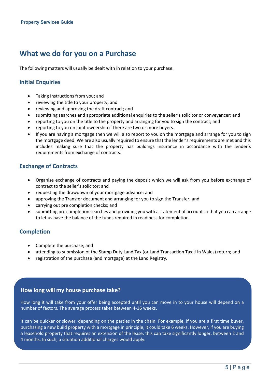### **What we do for you on a Purchase**

The following matters will usually be dealt with in relation to your purchase.

#### **Initial Enquiries**

- Taking Instructions from you; and
- reviewing the title to your property; and
- reviewing and approving the draft contract; and
- submitting searches and appropriate additional enquiries to the seller's solicitor or conveyancer; and
- reporting to you on the title to the property and arranging for you to sign the contract; and
- reporting to you on joint ownership if there are two or more buyers.
- If you are having a mortgage then we will also report to you on the mortgage and arrange for you to sign the mortgage deed. We are also usually required to ensure that the lender's requirements are met and this includes making sure that the property has buildings insurance in accordance with the lender's requirements from exchange of contracts.

#### **Exchange of Contracts**

- Organise exchange of contracts and paying the deposit which we will ask from you before exchange of contract to the seller's solicitor; and
- requesting the drawdown of your mortgage advance; and
- approving the Transfer document and arranging for you to sign the Transfer; and
- carrying out pre completion checks; and
- submitting pre completion searches and providing you with a statement of account so that you can arrange to let us have the balance of the funds required in readiness for completion.

#### **Completion**

- Complete the purchase; and
- attending to submission of the Stamp Duty Land Tax (or Land Transaction Tax if in Wales) return; and
- registration of the purchase (and mortgage) at the Land Registry.

#### **How long will my house purchase take?**

How long it will take from your offer being accepted until you can move in to your house will depend on a number of factors. The average process takes between 4-16 weeks.

It can be quicker or slower, depending on the parties in the chain. For example, if you are a first time buyer, purchasing a new build property with a mortgage in principle, it could take 6 weeks. However, if you are buying a leasehold property that requires an extension of the lease, this can take significantly longer, between 2 and 4 months. In such, a situation additional charges would apply.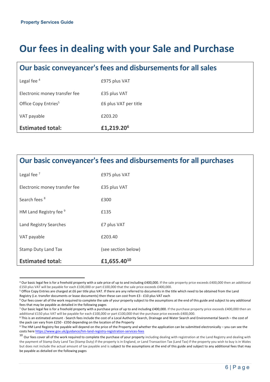# **Our fees in dealing with your Sale and Purchase**

### **Our basic conveyancer's fees and disbursementsfor all sales**

| Legal fee $4$                    | £975 plus VAT          |
|----------------------------------|------------------------|
| Electronic money transfer fee    | £35 plus VAT           |
| Office Copy Entries <sup>5</sup> | £6 plus VAT per title  |
| VAT payable                      | £203.20                |
| <b>Estimated total:</b>          | £1,219.20 <sup>6</sup> |

### **Our basic conveyancer's fees and disbursementsfor all purchases**

| Legal fee $7$                 | £975 plus VAT           |
|-------------------------------|-------------------------|
| Electronic money transfer fee | £35 plus VAT            |
| Search fees <sup>8</sup>      | £300                    |
| HM Land Registry fee 9        | £135                    |
| Land Registry Searches        | £7 plus VAT             |
| VAT payable                   | £203.40                 |
| <b>Stamp Duty Land Tax</b>    | (see section below)     |
| <b>Estimated total:</b>       | £1,655.40 <sup>10</sup> |

<sup>&</sup>lt;sup>4</sup> Our basic legal fee is for a freehold property with a sale price of up to and including £400,000. If the sale property price exceeds £400,000 then an additional £150 plus VAT will be payable for each £100,000 or part £100,000 that the sale price exceeds £400,000.

<sup>&</sup>lt;sup>5</sup> Office Copy Entries are charged at £6 per title plus VAT. If there are any referred to documents in the title which need to be obtained from the Land Registry (i.e. transfer documents or lease documents) then these can cost from £3 - £10 plus VAT each

<sup>&</sup>lt;sup>6</sup> Our fees cover all of the work required to complete the sale of your property subject to the assumptions at the end of this guide and subject to any additional fees that may be payable as detailed in the following pages

<sup>&</sup>lt;sup>7</sup> Our basic legal fee is for a freehold property with a purchase price of up to and including £400,000. If the purchase property price exceeds £400,000 then an additional £150 plus VAT will be payable for each £100,000 or part £100,000 that the purchase price exceeds £400,000.

<sup>8</sup> This is an estimated amount - Search fees include the cost of a Local Authority Search, Drainage and Water Search and Environmental Search – the cost of the pack can vary from £250 - £350 depending on the location of the Property

<sup>9</sup> The HM Land Registry fee payable will depend on the price of the Property and whether the application can be submitted electronically – you can see the costs here https://www.gov.uk/guidance/hm-land-registry-registration-services-fees

 $10$  Our fees cover all of the work required to complete the purchase of your property including dealing with registration at the Land Registry and dealing with the payment of Stamp Duty Land Tax (Stamp Duty) if the property is in England, or Land Transaction Tax (Land Tax) if the property you wish to buy is in Wales but does not include the actual amount of tax payable and is subject to the assumptions at the end of this guide and subject to any additional fees that may be payable as detailed on the following pages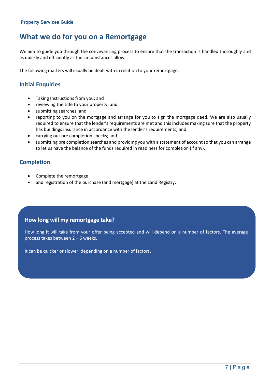### **What we do for you on a Remortgage**

We aim to guide you through the conveyancing process to ensure that the transaction is handled thoroughly and as quickly and efficiently as the circumstances allow.

The following matters will usually be dealt with in relation to your remortgage.

#### **Initial Enquiries**

- Taking Instructions from you; and
- reviewing the title to your property; and
- submitting searches; and
- reporting to you on the mortgage and arrange for you to sign the mortgage deed. We are also usually required to ensure that the lender's requirements are met and this includes making sure that the property has buildings insurance in accordance with the lender's requirements; and
- carrying out pre completion checks; and
- submitting pre completion searches and providing you with a statement of account so that you can arrange to let us have the balance of the funds required in readiness for completion (if any).

#### **Completion**

- Complete the remortgage;
- and registration of the purchase (and mortgage) at the Land Registry.

#### **How long will my remortgage take?**

How long it will take from your offer being accepted and will depend on a number of factors. The average process takes between 2 – 6 weeks.

It can be quicker or slower, depending on a number of factors.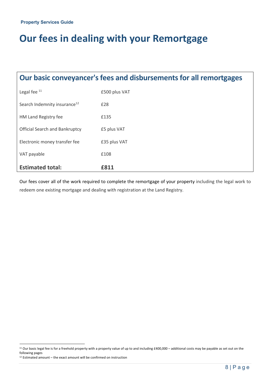# **Our fees in dealing with your Remortgage**

### **Our basic conveyancer's fees and disbursementsfor all remortgages**

| <b>Estimated total:</b>                  | £811          |
|------------------------------------------|---------------|
| VAT payable                              | £108          |
| Electronic money transfer fee            | £35 plus VAT  |
| <b>Official Search and Bankruptcy</b>    | £5 plus VAT   |
| HM Land Registry fee                     | £135          |
| Search Indemnity insurance <sup>12</sup> | £28           |
| Legal fee <sup>11</sup>                  | £500 plus VAT |

Our fees cover all of the work required to complete the remortgage of your property including the legal work to redeem one existing mortgage and dealing with registration at the Land Registry.

<sup>&</sup>lt;sup>11</sup> Our basic legal fee is for a freehold property with a property value of up to and including £400,000 – additional costs may be payable as set out on the following pages

 $12$  Estimated amount – the exact amount will be confirmed on instruction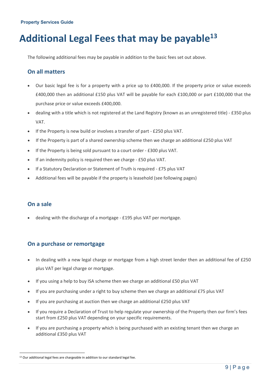# **Additional Legal Fees that may be payable13**

The following additional fees may be payable in addition to the basic fees set out above.

#### **On all matters**

- Our basic legal fee is for a property with a price up to £400,000. If the property price or value exceeds £400,000 then an additional £150 plus VAT will be payable for each £100,000 or part £100,000 that the purchase price or value exceeds £400,000.
- dealing with a title which is not registered at the Land Registry (known as an unregistered title) £350 plus VAT.
- If the Property is new build or involves a transfer of part £250 plus VAT.
- If the Property is part of a shared ownership scheme then we charge an additional £250 plus VAT
- If the Property is being sold pursuant to a court order £300 plus VAT.
- If an indemnity policy is required then we charge £50 plus VAT.
- If a Statutory Declaration or Statement of Truth is required £75 plus VAT
- Additional fees will be payable if the property is leasehold (see following pages)

#### **On a sale**

• dealing with the discharge of a mortgage - £195 plus VAT per mortgage.

#### **On a purchase or remortgage**

- In dealing with a new legal charge or mortgage from a high street lender then an additional fee of £250 plus VAT per legal charge or mortgage.
- If you using a help to buy ISA scheme then we charge an additional £50 plus VAT
- If you are purchasing under a right to buy scheme then we charge an additional £75 plus VAT
- If you are purchasing at auction then we charge an additional £250 plus VAT
- If you require a Declaration of Trust to help regulate your ownership of the Property then our firm's fees start from £250 plus VAT depending on your specific requirements.
- If you are purchasing a property which is being purchased with an existing tenant then we charge an additional £350 plus VAT

<sup>&</sup>lt;sup>13</sup> Our additional legal fees are chargeable in addition to our standard legal fee.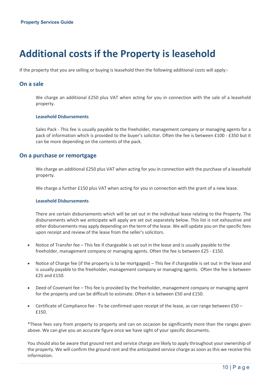# **Additional costs if the Property is leasehold**

If the property that you are selling or buying is leasehold then the following additional costs will apply:-

#### **On a sale**

We charge an additional £250 plus VAT when acting for you in connection with the sale of a leasehold property.

#### **Leasehold Disbursements**

Sales Pack - This fee is usually payable to the freeholder, management company or managing agents for a pack of information which is provided to the buyer's solicitor. Often the fee is between £100 - £350 but it can be more depending on the contents of the pack.

#### **On a purchase or remortgage**

We charge an additional £250 plus VAT when acting for you in connection with the purchase of a leasehold property.

We charge a further £150 plus VAT when acting for you in connection with the grant of a new lease.

#### **Leasehold Disbursements**

There are certain disbursements which will be set out in the individual lease relating to the Property. The disbursements which we anticipate will apply are set out separately below. This list is not exhaustive and other disbursements may apply depending on the term of the lease. We will update you on the specific fees upon receipt and review of the lease from the seller's solicitors.

- Notice of Transfer fee This fee if chargeable is set out in the lease and is usually payable to the freeholder, management company or managing agents. Often the fee is between £25 - £150.
- Notice of Charge fee (if the property is to be mortgaged) This fee if chargeable is set out in the lease and is usually payable to the freeholder, management company or managing agents. Often the fee is between £25 and £150.
- Deed of Covenant fee This fee is provided by the freeholder, management company or managing agent for the property and can be difficult to estimate. Often it is between £50 and £150.
- Certificate of Compliance fee To be confirmed upon receipt of the lease, as can range between £50 £150.

\*These fees vary from property to property and can on occasion be significantly more than the ranges given above. We can give you an accurate figure once we have sight of your specific documents.

You should also be aware that ground rent and service charge are likely to apply throughout your ownership of the property. We will confirm the ground rent and the anticipated service charge as soon as this we receive this information.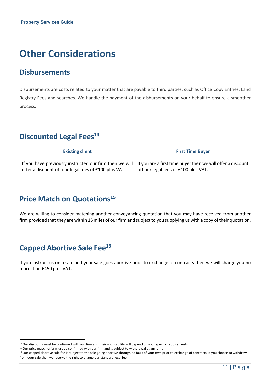# **Other Considerations**

### **Disbursements**

Disbursements are costs related to your matter that are payable to third parties, such as Office Copy Entries, Land Registry Fees and searches. We handle the payment of the disbursements on your behalf to ensure a smoother process.

### **Discounted Legal Fees14**

offer a discount off our legal fees of £100 plus VAT

**Existing client First Time Buyer** 

If you have previously instructed our firm then we will If you are a first time buyer then we will offer a discount off our legal fees of £100 plus VAT.

### **Price Match on Quotations<sup>15</sup>**

We are willing to consider matching another conveyancing quotation that you may have received from another firm provided that they are within 15 miles of our firm and subject to you supplying us with a copy of their quotation.

### **Capped Abortive Sale Fee16**

If you instruct us on a sale and your sale goes abortive prior to exchange of contracts then we will charge you no more than £450 plus VAT.

<sup>&</sup>lt;sup>14</sup> Our discounts must be confirmed with our firm and their applicability will depend on your specific requirements

<sup>&</sup>lt;sup>15</sup> Our price match offer must be confirmed with our firm and is subject to withdrawal at any time

<sup>&</sup>lt;sup>16</sup> Our capped abortive sale fee is subject to the sale going abortive through no fault of your own prior to exchange of contracts. If you choose to withdraw from your sale then we reserve the right to charge our standard legal fee.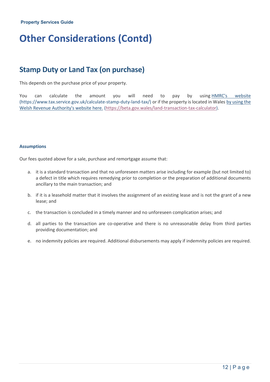# **Other Considerations (Contd)**

### **Stamp Duty or Land Tax (on purchase)**

This depends on the purchase price of your property.

You can calculate the amount you will need to pay by using HMRC's website (https://www.tax.service.gov.uk/calculate-stamp-duty-land-tax/) or if the property is located in Wales by using the Welsh Revenue Authority's website here. (https://beta.gov.wales/land-transaction-tax-calculator).

#### **Assumptions**

Our fees quoted above for a sale, purchase and remortgage assume that:

- a. it is a standard transaction and that no unforeseen matters arise including for example (but not limited to) a defect in title which requires remedying prior to completion or the preparation of additional documents ancillary to the main transaction; and
- b. if it is a leasehold matter that it involves the assignment of an existing lease and is not the grant of a new lease; and
- c. the transaction is concluded in a timely manner and no unforeseen complication arises; and
- d. all parties to the transaction are co-operative and there is no unreasonable delay from third parties providing documentation; and
- e. no indemnity policies are required. Additional disbursements may apply if indemnity policies are required.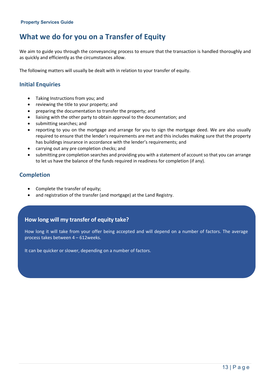### **What we do for you on a Transfer of Equity**

We aim to guide you through the conveyancing process to ensure that the transaction is handled thoroughly and as quickly and efficiently as the circumstances allow.

The following matters will usually be dealt with in relation to your transfer of equity.

#### **Initial Enquiries**

- Taking Instructions from you; and
- reviewing the title to your property; and
- preparing the documentation to transfer the property; and
- liaising with the other party to obtain approval to the documentation; and
- submitting searches; and
- reporting to you on the mortgage and arrange for you to sign the mortgage deed. We are also usually required to ensure that the lender's requirements are met and this includes making sure that the property has buildings insurance in accordance with the lender's requirements; and
- carrying out any pre completion checks; and
- submitting pre completion searches and providing you with a statement of account so that you can arrange to let us have the balance of the funds required in readiness for completion (if any).

#### **Completion**

- Complete the transfer of equity;
- and registration of the transfer (and mortgage) at the Land Registry.

#### **How long will my transfer of equity take?**

How long it will take from your offer being accepted and will depend on a number of factors. The average process takes between 4 – 612weeks.

It can be quicker or slower, depending on a number of factors.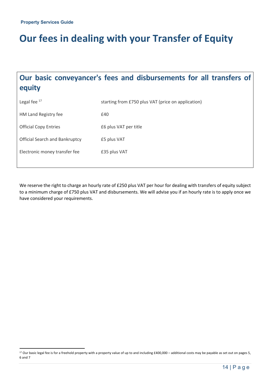# **Our fees in dealing with your Transfer of Equity**

### **Our basic conveyancer's fees and disbursements for all transfers of equity**

| Legal fee $^{17}$                     | starting from £750 plus VAT (price on application) |
|---------------------------------------|----------------------------------------------------|
| HM Land Registry fee                  | £40                                                |
| <b>Official Copy Entries</b>          | £6 plus VAT per title                              |
| <b>Official Search and Bankruptcy</b> | £5 plus VAT                                        |
| Electronic money transfer fee         | £35 plus VAT                                       |

We reserve the right to charge an hourly rate of £250 plus VAT per hour for dealing with transfers of equity subject to a minimum charge of £750 plus VAT and disbursements. We will advise you if an hourly rate is to apply once we have considered your requirements.

 $17$  Our basic legal fee is for a freehold property with a property value of up to and including £400,000 – additional costs may be payable as set out on pages 5, 6 and 7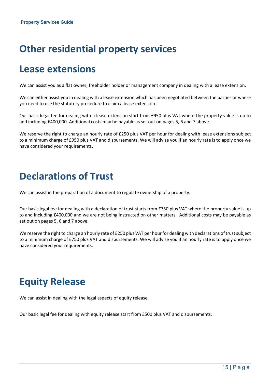# **Other residential property services**

### **Lease extensions**

We can assist you as a flat owner, freeholder holder or management company in dealing with a lease extension.

We can either assist you in dealing with a lease extension which has been negotiated between the parties or where you need to use the statutory procedure to claim a lease extension.

Our basic legal fee for dealing with a lease extension start from £950 plus VAT where the property value is up to and including £400,000. Additional costs may be payable as set out on pages 5, 6 and 7 above.

We reserve the right to charge an hourly rate of £250 plus VAT per hour for dealing with lease extensions subject to a minimum charge of £950 plus VAT and disbursements. We will advise you if an hourly rate is to apply once we have considered your requirements.

## **Declarations of Trust**

We can assist in the preparation of a document to regulate ownership of a property.

Our basic legal fee for dealing with a declaration of trust starts from £750 plus VAT where the property value is up to and including £400,000 and we are not being instructed on other matters. Additional costs may be payable as set out on pages 5, 6 and 7 above.

We reserve the right to charge an hourly rate of £250 plus VAT per hour for dealing with declarations of trust subject to a minimum charge of £750 plus VAT and disbursements. We will advise you if an hourly rate is to apply once we have considered your requirements.

# **Equity Release**

We can assist in dealing with the legal aspects of equity release.

Our basic legal fee for dealing with equity release start from £500 plus VAT and disbursements.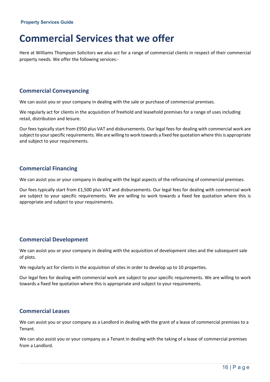## **Commercial Services that we offer**

Here at Williams Thompson Solicitors we also act for a range of commercial clients in respect of their commercial property needs. We offer the following services:-

#### **Commercial Conveyancing**

We can assist you or your company in dealing with the sale or purchase of commercial premises.

We regularly act for clients in the acquisition of freehold and leasehold premises for a range of uses including retail, distribution and leisure.

Our fees typically start from £950 plus VAT and disbursements. Our legal fees for dealing with commercial work are subject to your specific requirements. We are willing to work towards a fixed fee quotation where this is appropriate and subject to your requirements.

#### **Commercial Financing**

We can assist you or your company in dealing with the legal aspects of the refinancing of commercial premises.

Our fees typically start from £1,500 plus VAT and disbursements. Our legal fees for dealing with commercial work are subject to your specific requirements. We are willing to work towards a fixed fee quotation where this is appropriate and subject to your requirements.

#### **Commercial Development**

We can assist you or your company in dealing with the acquisition of development sites and the subsequent sale of plots.

We regularly act for clients in the acquisition of sites in order to develop up to 10 properties.

Our legal fees for dealing with commercial work are subject to your specific requirements. We are willing to work towards a fixed fee quotation where this is appropriate and subject to your requirements.

#### **Commercial Leases**

We can assist you or your company as a Landlord in dealing with the grant of a lease of commercial premises to a Tenant.

We can also assist you or your company as a Tenant in dealing with the taking of a lease of commercial premises from a Landlord.